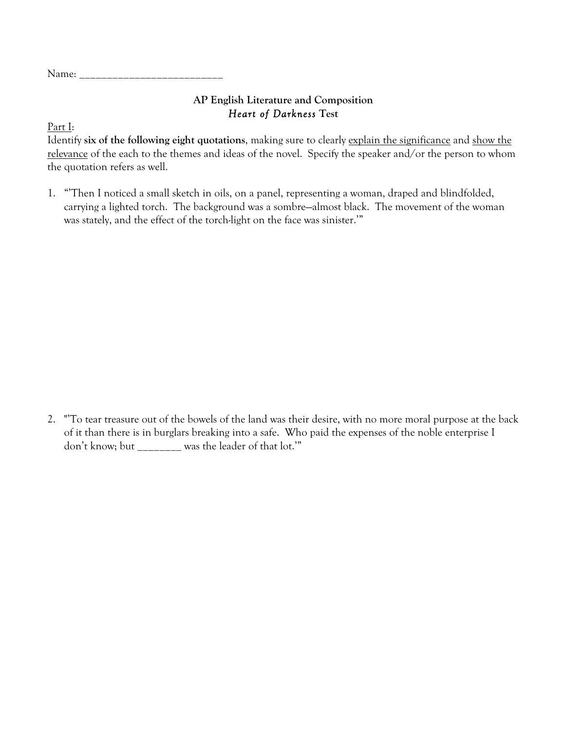Name:

## **AP English Literature and Composition** *Heart of Darkness* **Test**

Part I:

Identify **six of the following eight quotations**, making sure to clearly explain the significance and show the relevance of the each to the themes and ideas of the novel. Specify the speaker and/or the person to whom the quotation refers as well.

1. "'Then I noticed a small sketch in oils, on a panel, representing a woman, draped and blindfolded, carrying a lighted torch. The background was a sombre—almost black. The movement of the woman was stately, and the effect of the torch-light on the face was sinister.'"

2. "'To tear treasure out of the bowels of the land was their desire, with no more moral purpose at the back of it than there is in burglars breaking into a safe. Who paid the expenses of the noble enterprise I don't know; but \_\_\_\_\_\_\_\_ was the leader of that lot.'"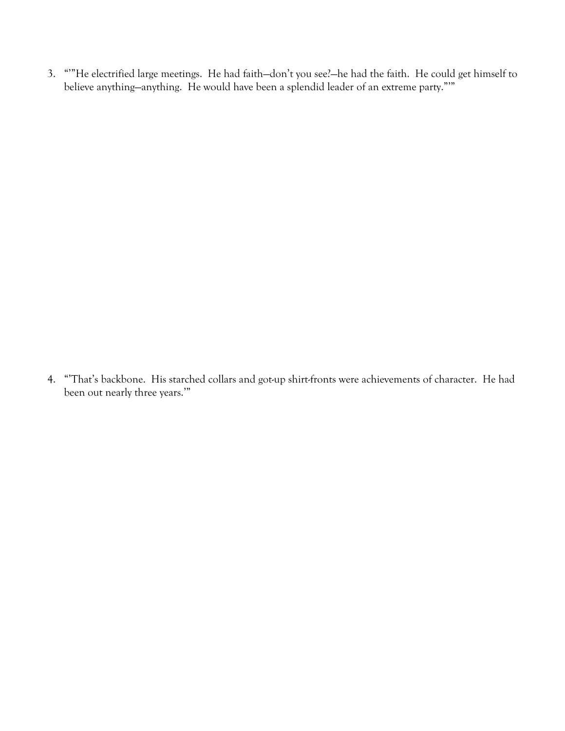3. "'"He electrified large meetings. He had faith—don't you see?—he had the faith. He could get himself to believe anything—anything. He would have been a splendid leader of an extreme party."'"

4. "'That's backbone. His starched collars and got-up shirt-fronts were achievements of character. He had been out nearly three years.'"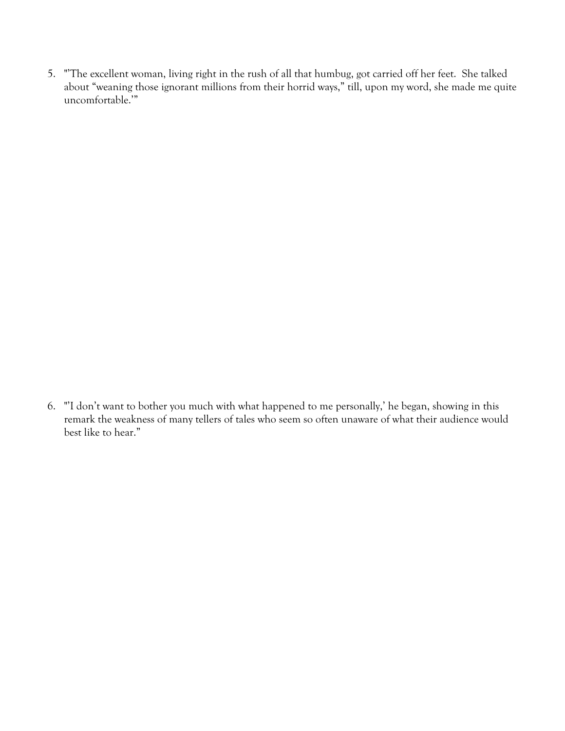5. "'The excellent woman, living right in the rush of all that humbug, got carried off her feet. She talked about "weaning those ignorant millions from their horrid ways," till, upon my word, she made me quite uncomfortable.'"

6. "'I don't want to bother you much with what happened to me personally,' he began, showing in this remark the weakness of many tellers of tales who seem so often unaware of what their audience would best like to hear."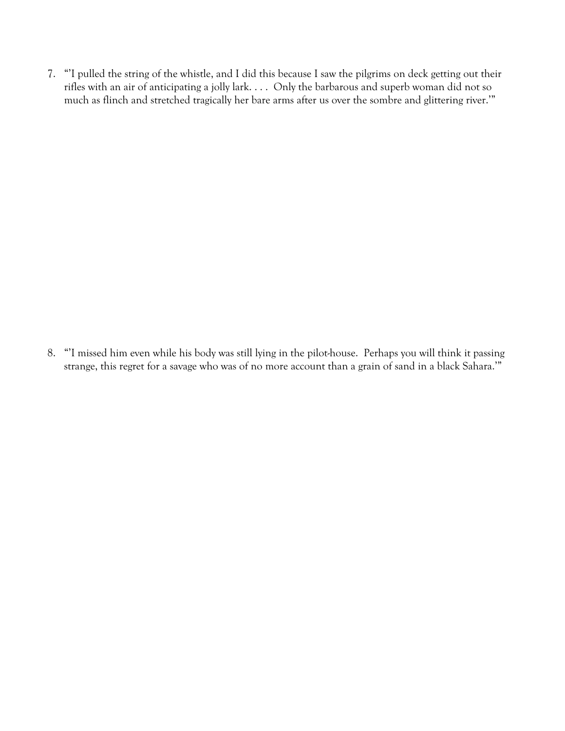7. "'I pulled the string of the whistle, and I did this because I saw the pilgrims on deck getting out their rifles with an air of anticipating a jolly lark. . . . Only the barbarous and superb woman did not so much as flinch and stretched tragically her bare arms after us over the sombre and glittering river.'"

8. "'I missed him even while his body was still lying in the pilot-house. Perhaps you will think it passing strange, this regret for a savage who was of no more account than a grain of sand in a black Sahara.'"